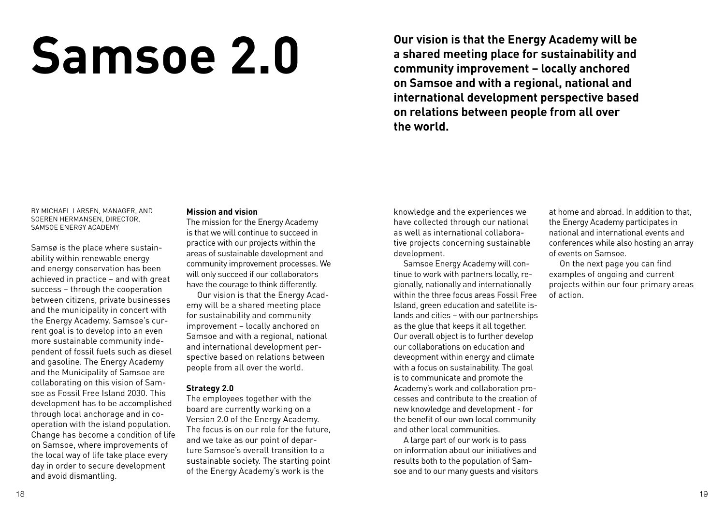# **Samsoe 2.0**

**Our vision is that the Energy Academy will be a shared meeting place for sustainability and community improvement – locally anchored on Samsoe and with a regional, national and international development perspective based on relations between people from all over the world.**

By Michael larsen, manager, and Soeren Hermansen, director, Samsoe Energy Academy

Samsø is the place where sustainability within renewable energy and energy conservation has been achieved in practice – and with great success – through the cooperation between citizens, private businesses and the municipality in concert with the Energy Academy. Samsoe's current goal is to develop into an even more sustainable community independent of fossil fuels such as diesel and gasoline. The Energy Academy and the Municipality of Samsoe are collaborating on this vision of Samsoe as Fossil Free Island 2030. This development has to be accomplished through local anchorage and in cooperation with the island population. Change has become a condition of life on Samsoe, where improvements of the local way of life take place every day in order to secure development and avoid dismantling.

# **Mission and vision**

The mission for the Energy Academy is that we will continue to succeed in practice with our projects within the areas of sustainable development and community improvement processes. We will only succeed if our collaborators have the courage to think differently.

 Our vision is that the Energy Academy will be a shared meeting place for sustainability and community improvement – locally anchored on Samsoe and with a regional, national and international development perspective based on relations between people from all over the world.

# **Strategy 2.0**

The employees together with the board are currently working on a Version 2.0 of the Energy Academy. The focus is on our role for the future, and we take as our point of departure Samsoe's overall transition to a sustainable society. The starting point of the Energy Academy's work is the

knowledge and the experiences we have collected through our national as well as international collaborative projects concerning sustainable development.

 Samsoe Energy Academy will continue to work with partners locally, regionally, nationally and internationally within the three focus areas Fossil Free Island, green education and satellite islands and cities – with our partnerships as the glue that keeps it all together. Our overall object is to further develop our collaborations on education and deveopment within energy and climate with a focus on sustainability. The goal is to communicate and promote the Academy's work and collaboration processes and contribute to the creation of new knowledge and development - for the benefit of our own local community and other local communities.

 A large part of our work is to pass on information about our initiatives and results both to the population of Samsoe and to our many guests and visitors

at home and abroad. In addition to that, the Energy Academy participates in national and international events and conferences while also hosting an array of events on Samsoe.

 On the next page you can find examples of ongoing and current projects within our four primary areas of action.